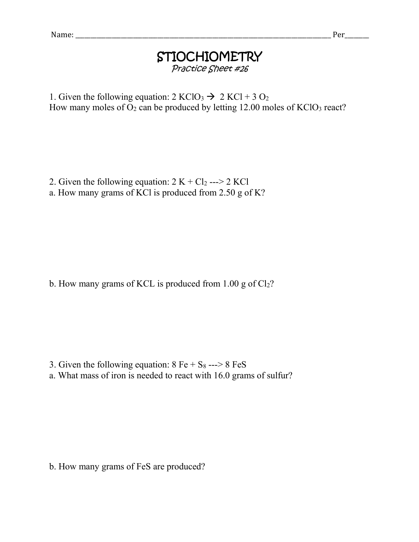## STIOCHIOMETRY Practice Sheet #26

1. Given the following equation:  $2 KClO<sub>3</sub> \rightarrow 2 KCl + 3 O<sub>2</sub>$ How many moles of  $O_2$  can be produced by letting 12.00 moles of KClO<sub>3</sub> react?

2. Given the following equation:  $2 K + Cl_2$  ---> 2 KCl

a. How many grams of KCl is produced from 2.50 g of K?

b. How many grams of KCL is produced from  $1.00$  g of  $Cl<sub>2</sub>$ ?

3. Given the following equation:  $8 \text{ Fe} + \text{S}_8$  --->  $8 \text{ FeS}$ 

a. What mass of iron is needed to react with 16.0 grams of sulfur?

b. How many grams of FeS are produced?